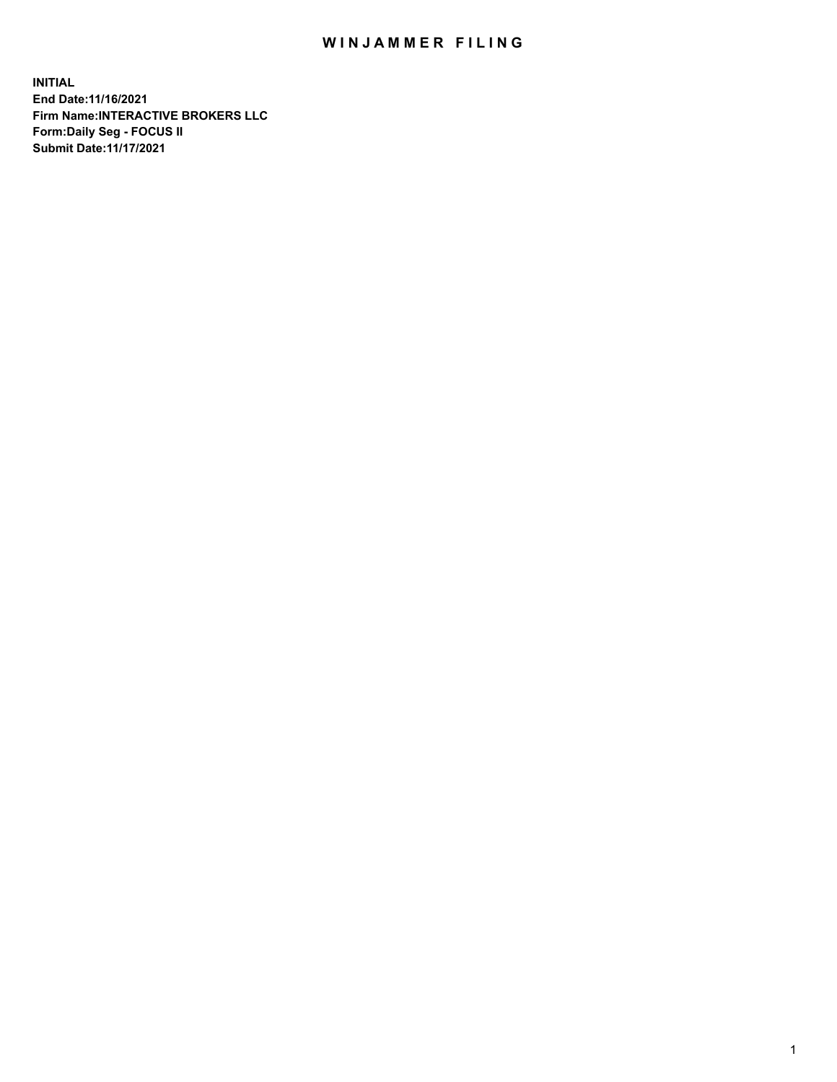## WIN JAMMER FILING

**INITIAL End Date:11/16/2021 Firm Name:INTERACTIVE BROKERS LLC Form:Daily Seg - FOCUS II Submit Date:11/17/2021**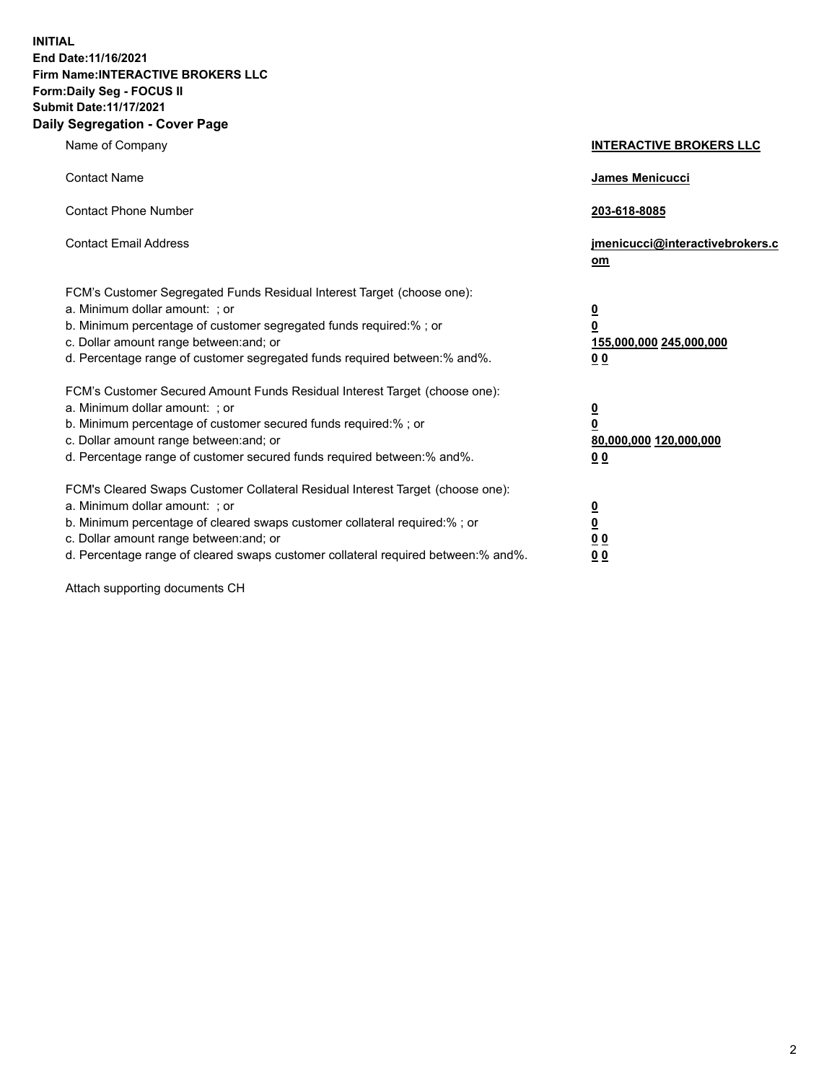**INITIAL End Date:11/16/2021 Firm Name:INTERACTIVE BROKERS LLC Form:Daily Seg - FOCUS II Submit Date:11/17/2021 Daily Segregation - Cover Page**

| Name of Company                                                                                                                                                                                                                                                                                                                | <b>INTERACTIVE BROKERS LLC</b>                                                                           |
|--------------------------------------------------------------------------------------------------------------------------------------------------------------------------------------------------------------------------------------------------------------------------------------------------------------------------------|----------------------------------------------------------------------------------------------------------|
| <b>Contact Name</b>                                                                                                                                                                                                                                                                                                            | James Menicucci                                                                                          |
| <b>Contact Phone Number</b>                                                                                                                                                                                                                                                                                                    | 203-618-8085                                                                                             |
| <b>Contact Email Address</b>                                                                                                                                                                                                                                                                                                   | jmenicucci@interactivebrokers.c<br>om                                                                    |
| FCM's Customer Segregated Funds Residual Interest Target (choose one):<br>a. Minimum dollar amount: ; or<br>b. Minimum percentage of customer segregated funds required:% ; or<br>c. Dollar amount range between: and; or<br>d. Percentage range of customer segregated funds required between:% and%.                         | $\overline{\mathbf{0}}$<br>$\overline{\mathbf{0}}$<br>155,000,000 245,000,000<br>0 <sub>0</sub>          |
| FCM's Customer Secured Amount Funds Residual Interest Target (choose one):<br>a. Minimum dollar amount: ; or<br>b. Minimum percentage of customer secured funds required:%; or<br>c. Dollar amount range between: and; or<br>d. Percentage range of customer secured funds required between:% and%.                            | $\overline{\mathbf{0}}$<br>$\overline{\mathbf{0}}$<br>80,000,000 120,000,000<br>00                       |
| FCM's Cleared Swaps Customer Collateral Residual Interest Target (choose one):<br>a. Minimum dollar amount: ; or<br>b. Minimum percentage of cleared swaps customer collateral required:% ; or<br>c. Dollar amount range between: and; or<br>d. Percentage range of cleared swaps customer collateral required between:% and%. | $\overline{\mathbf{0}}$<br>$\underline{\mathbf{0}}$<br>$\underline{0}$ $\underline{0}$<br>0 <sub>0</sub> |

Attach supporting documents CH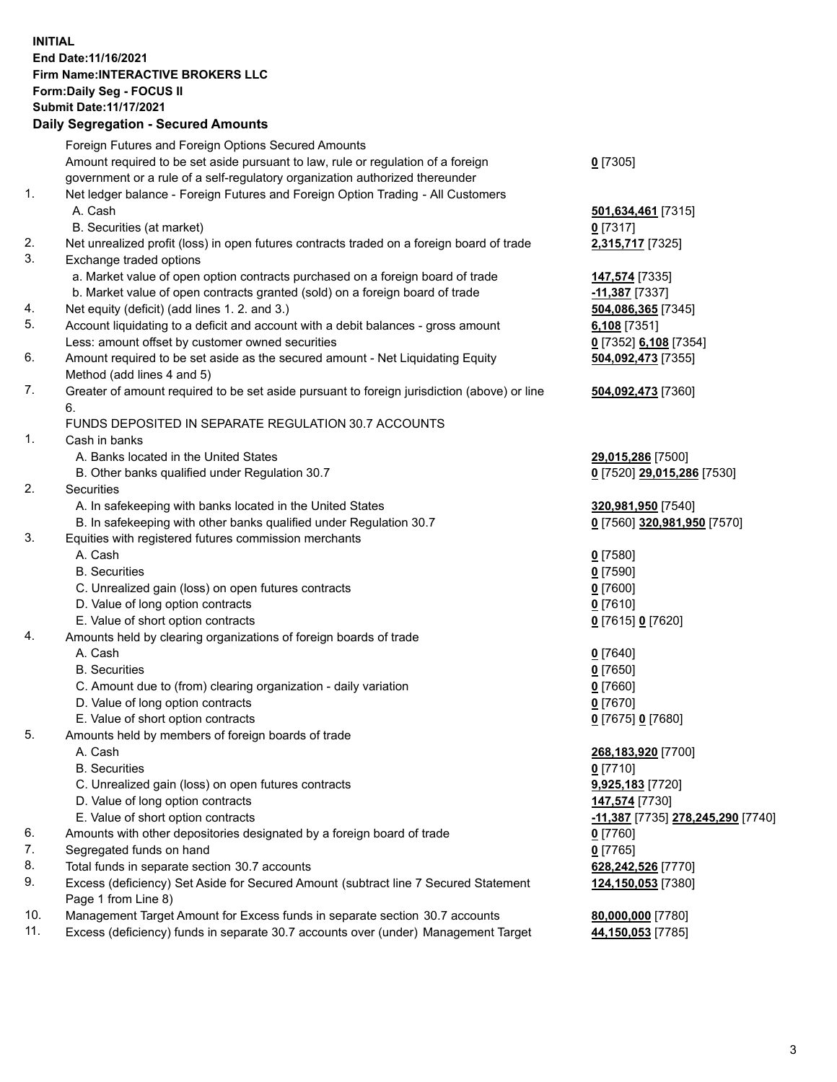## **INITIAL End Date:11/16/2021 Firm Name:INTERACTIVE BROKERS LLC Form:Daily Seg - FOCUS II Submit Date:11/17/2021 Daily Segregation - Secured Amounts**

|     | Daily Segregation - Secured Aniounts                                                        |                                                |
|-----|---------------------------------------------------------------------------------------------|------------------------------------------------|
|     | Foreign Futures and Foreign Options Secured Amounts                                         |                                                |
|     | Amount required to be set aside pursuant to law, rule or regulation of a foreign            | $0$ [7305]                                     |
|     | government or a rule of a self-regulatory organization authorized thereunder                |                                                |
| 1.  | Net ledger balance - Foreign Futures and Foreign Option Trading - All Customers             |                                                |
|     | A. Cash                                                                                     | 501,634,461 [7315]                             |
|     | B. Securities (at market)                                                                   | $0$ [7317]                                     |
| 2.  | Net unrealized profit (loss) in open futures contracts traded on a foreign board of trade   | 2,315,717 [7325]                               |
| 3.  | Exchange traded options                                                                     |                                                |
|     | a. Market value of open option contracts purchased on a foreign board of trade              | 147,574 [7335]                                 |
|     | b. Market value of open contracts granted (sold) on a foreign board of trade                | $-11,387$ [7337]                               |
| 4.  | Net equity (deficit) (add lines 1. 2. and 3.)                                               | 504,086,365 [7345]                             |
| 5.  | Account liquidating to a deficit and account with a debit balances - gross amount           | $6,108$ [7351]                                 |
|     | Less: amount offset by customer owned securities                                            | 0 [7352] 6,108 [7354]                          |
| 6.  | Amount required to be set aside as the secured amount - Net Liquidating Equity              | 504,092,473 [7355]                             |
|     | Method (add lines 4 and 5)                                                                  |                                                |
| 7.  | Greater of amount required to be set aside pursuant to foreign jurisdiction (above) or line | 504,092,473 [7360]                             |
|     | 6.                                                                                          |                                                |
|     | FUNDS DEPOSITED IN SEPARATE REGULATION 30.7 ACCOUNTS                                        |                                                |
| 1.  | Cash in banks                                                                               |                                                |
|     | A. Banks located in the United States                                                       | 29,015,286 [7500]                              |
|     | B. Other banks qualified under Regulation 30.7                                              | 0 [7520] 29,015,286 [7530]                     |
| 2.  | Securities                                                                                  |                                                |
|     | A. In safekeeping with banks located in the United States                                   | 320,981,950 [7540]                             |
|     | B. In safekeeping with other banks qualified under Regulation 30.7                          | 0 [7560] 320,981,950 [7570]                    |
| 3.  | Equities with registered futures commission merchants                                       |                                                |
|     | A. Cash                                                                                     | $0$ [7580]                                     |
|     | <b>B.</b> Securities                                                                        | $0$ [7590]                                     |
|     | C. Unrealized gain (loss) on open futures contracts                                         | $0$ [7600]                                     |
|     | D. Value of long option contracts                                                           | $0$ [7610]                                     |
|     | E. Value of short option contracts                                                          | 0 [7615] 0 [7620]                              |
| 4.  | Amounts held by clearing organizations of foreign boards of trade<br>A. Cash                |                                                |
|     | <b>B.</b> Securities                                                                        | $Q$ [7640]                                     |
|     |                                                                                             | $0$ [7650]                                     |
|     | C. Amount due to (from) clearing organization - daily variation                             | $0$ [7660]                                     |
|     | D. Value of long option contracts<br>E. Value of short option contracts                     | $0$ [7670]                                     |
| 5.  | Amounts held by members of foreign boards of trade                                          | 0 [7675] 0 [7680]                              |
|     | A. Cash                                                                                     | 268,183,920 [7700]                             |
|     | <b>B.</b> Securities                                                                        | $0$ [7710]                                     |
|     | C. Unrealized gain (loss) on open futures contracts                                         | 9,925,183 [7720]                               |
|     | D. Value of long option contracts                                                           | 147,574 [7730]                                 |
|     | E. Value of short option contracts                                                          | <mark>-11,387</mark> [7735] 278,245,290 [7740] |
| 6.  | Amounts with other depositories designated by a foreign board of trade                      | 0 [7760]                                       |
| 7.  | Segregated funds on hand                                                                    | $0$ [7765]                                     |
| 8.  | Total funds in separate section 30.7 accounts                                               | 628,242,526 [7770]                             |
| 9.  | Excess (deficiency) Set Aside for Secured Amount (subtract line 7 Secured Statement         | 124,150,053 [7380]                             |
|     | Page 1 from Line 8)                                                                         |                                                |
| 10. | Management Target Amount for Excess funds in separate section 30.7 accounts                 | 80,000,000 [7780]                              |
| 11. | Excess (deficiency) funds in separate 30.7 accounts over (under) Management Target          | 44,150,053 [7785]                              |
|     |                                                                                             |                                                |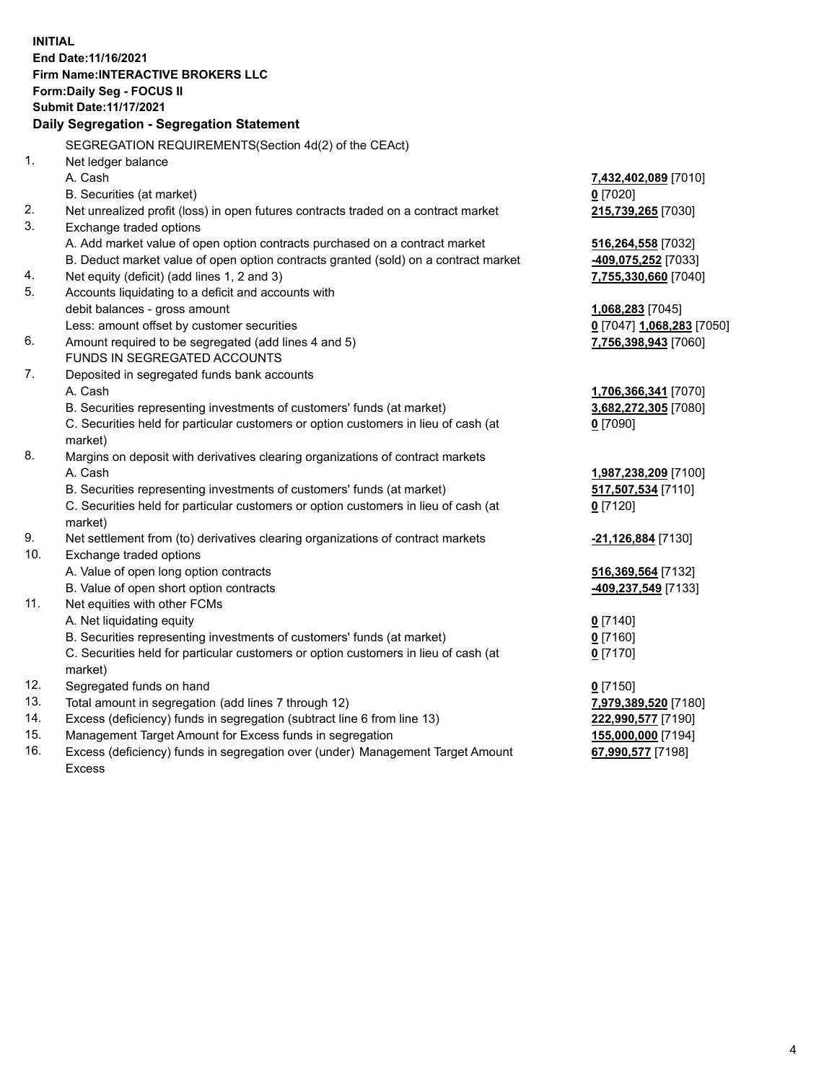**INITIAL End Date:11/16/2021 Firm Name:INTERACTIVE BROKERS LLC Form:Daily Seg - FOCUS II Submit Date:11/17/2021 Daily Segregation - Segregation Statement** SEGREGATION REQUIREMENTS(Section 4d(2) of the CEAct) 1. Net ledger balance A. Cash **7,432,402,089** [7010] B. Securities (at market) **0** [7020] 2. Net unrealized profit (loss) in open futures contracts traded on a contract market **215,739,265** [7030] 3. Exchange traded options A. Add market value of open option contracts purchased on a contract market **516,264,558** [7032] B. Deduct market value of open option contracts granted (sold) on a contract market **-409,075,252** [7033] 4. Net equity (deficit) (add lines 1, 2 and 3) **7,755,330,660** [7040] 5. Accounts liquidating to a deficit and accounts with debit balances - gross amount **1,068,283** [7045] Less: amount offset by customer securities **0** [7047] **1,068,283** [7050] 6. Amount required to be segregated (add lines 4 and 5) **7,756,398,943** [7060] FUNDS IN SEGREGATED ACCOUNTS 7. Deposited in segregated funds bank accounts A. Cash **1,706,366,341** [7070] B. Securities representing investments of customers' funds (at market) **3,682,272,305** [7080] C. Securities held for particular customers or option customers in lieu of cash (at market) **0** [7090] 8. Margins on deposit with derivatives clearing organizations of contract markets A. Cash **1,987,238,209** [7100] B. Securities representing investments of customers' funds (at market) **517,507,534** [7110] C. Securities held for particular customers or option customers in lieu of cash (at market) **0** [7120] 9. Net settlement from (to) derivatives clearing organizations of contract markets **-21,126,884** [7130] 10. Exchange traded options A. Value of open long option contracts **516,369,564** [7132] B. Value of open short option contracts **-409,237,549** [7133] 11. Net equities with other FCMs A. Net liquidating equity **0** [7140] B. Securities representing investments of customers' funds (at market) **0** [7160] C. Securities held for particular customers or option customers in lieu of cash (at market) **0** [7170] 12. Segregated funds on hand **0** [7150] 13. Total amount in segregation (add lines 7 through 12) **7,979,389,520** [7180] 14. Excess (deficiency) funds in segregation (subtract line 6 from line 13) **222,990,577** [7190] 15. Management Target Amount for Excess funds in segregation **155,000,000** [7194] 16. Excess (deficiency) funds in segregation over (under) Management Target Amount **67,990,577** [7198]

Excess